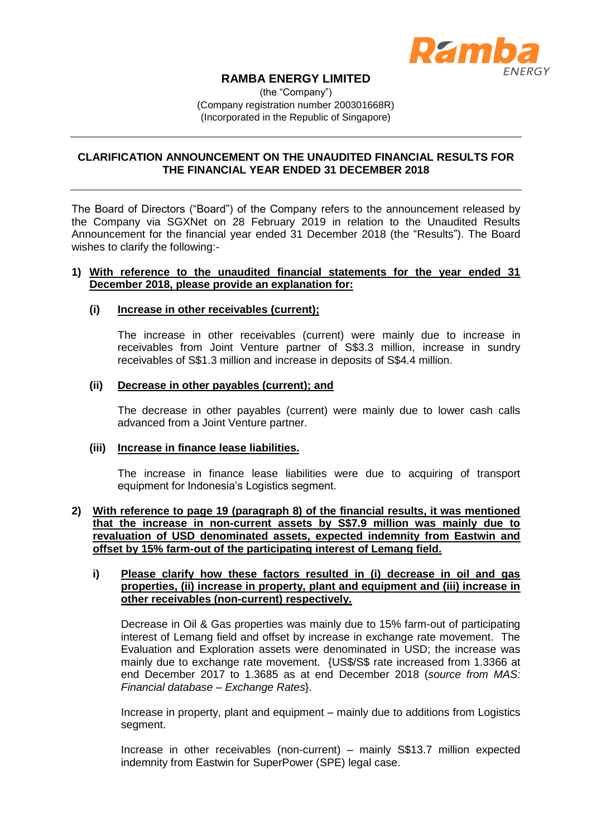

# **RAMBA ENERGY LIMITED**

(the "Company") (Company registration number 200301668R) (Incorporated in the Republic of Singapore)

# **CLARIFICATION ANNOUNCEMENT ON THE UNAUDITED FINANCIAL RESULTS FOR THE FINANCIAL YEAR ENDED 31 DECEMBER 2018**

The Board of Directors ("Board") of the Company refers to the announcement released by the Company via SGXNet on 28 February 2019 in relation to the Unaudited Results Announcement for the financial year ended 31 December 2018 (the "Results"). The Board wishes to clarify the following:-

#### **1) With reference to the unaudited financial statements for the year ended 31 December 2018, please provide an explanation for:**

## **(i) Increase in other receivables (current);**

The increase in other receivables (current) were mainly due to increase in receivables from Joint Venture partner of S\$3.3 million, increase in sundry receivables of S\$1.3 million and increase in deposits of S\$4.4 million.

### **(ii) Decrease in other payables (current); and**

The decrease in other payables (current) were mainly due to lower cash calls advanced from a Joint Venture partner.

### **(iii) Increase in finance lease liabilities.**

The increase in finance lease liabilities were due to acquiring of transport equipment for Indonesia's Logistics segment.

### **2) With reference to page 19 (paragraph 8) of the financial results, it was mentioned that the increase in non-current assets by S\$7.9 million was mainly due to revaluation of USD denominated assets, expected indemnity from Eastwin and offset by 15% farm-out of the participating interest of Lemang field.**

# **i) Please clarify how these factors resulted in (i) decrease in oil and gas properties, (ii) increase in property, plant and equipment and (iii) increase in other receivables (non-current) respectively.**

Decrease in Oil & Gas properties was mainly due to 15% farm-out of participating interest of Lemang field and offset by increase in exchange rate movement. The Evaluation and Exploration assets were denominated in USD; the increase was mainly due to exchange rate movement. {US\$/S\$ rate increased from 1.3366 at end December 2017 to 1.3685 as at end December 2018 (*source from MAS: Financial database – Exchange Rates*}.

Increase in property, plant and equipment – mainly due to additions from Logistics segment.

Increase in other receivables (non-current) – mainly S\$13.7 million expected indemnity from Eastwin for SuperPower (SPE) legal case.